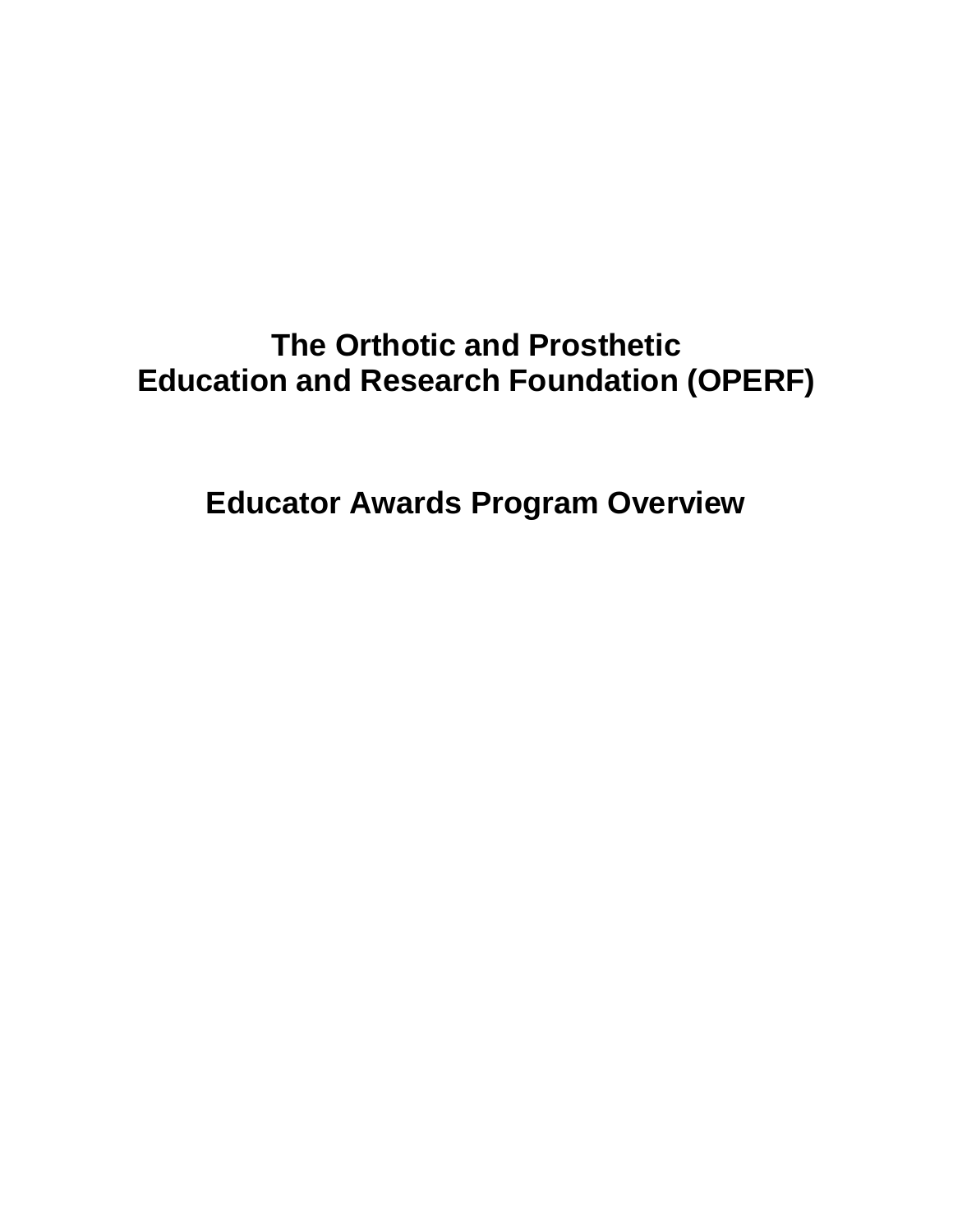# **The Orthotic and Prosthetic Education and Research Foundation (OPERF)**

**Educator Awards Program Overview**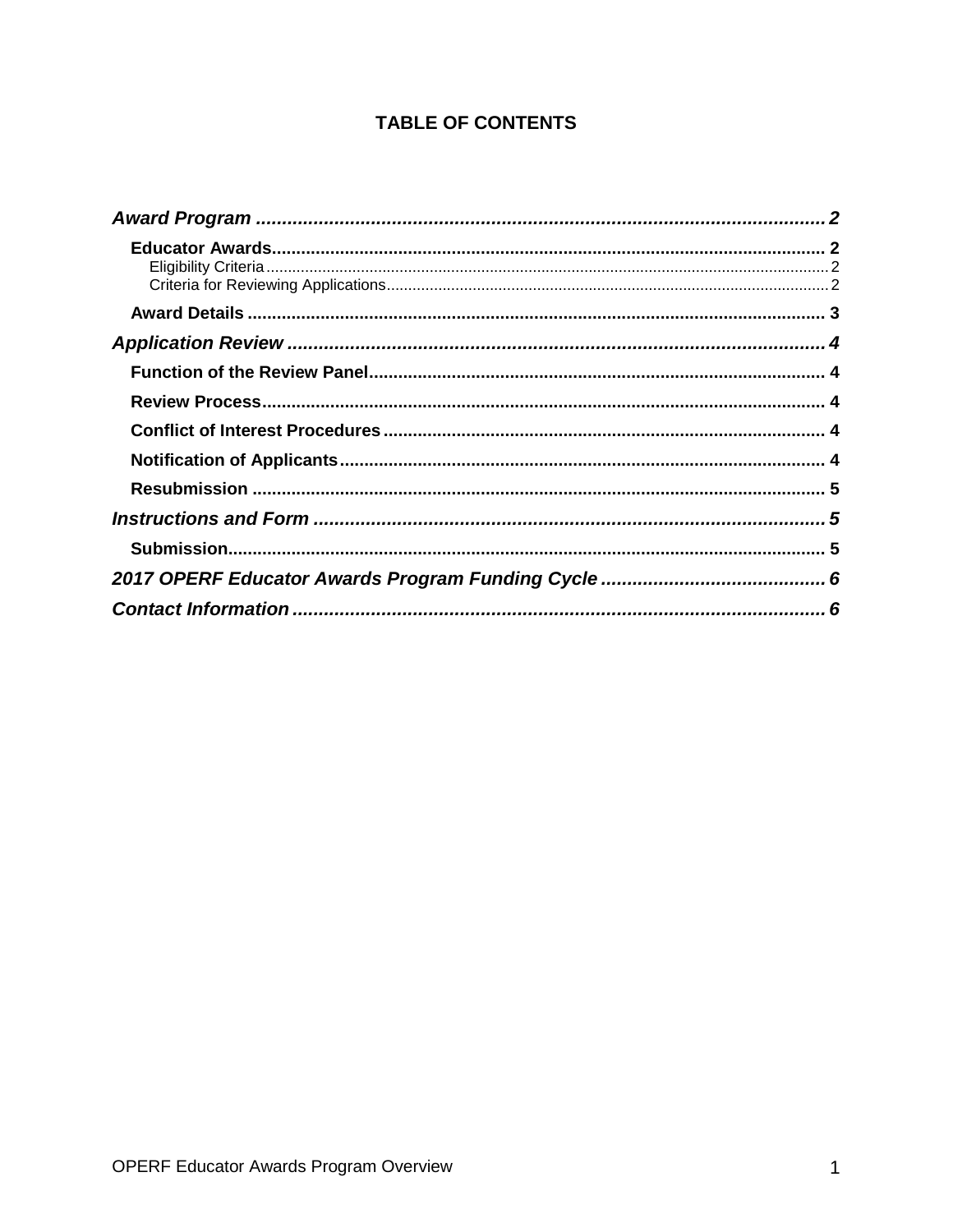#### **TABLE OF CONTENTS**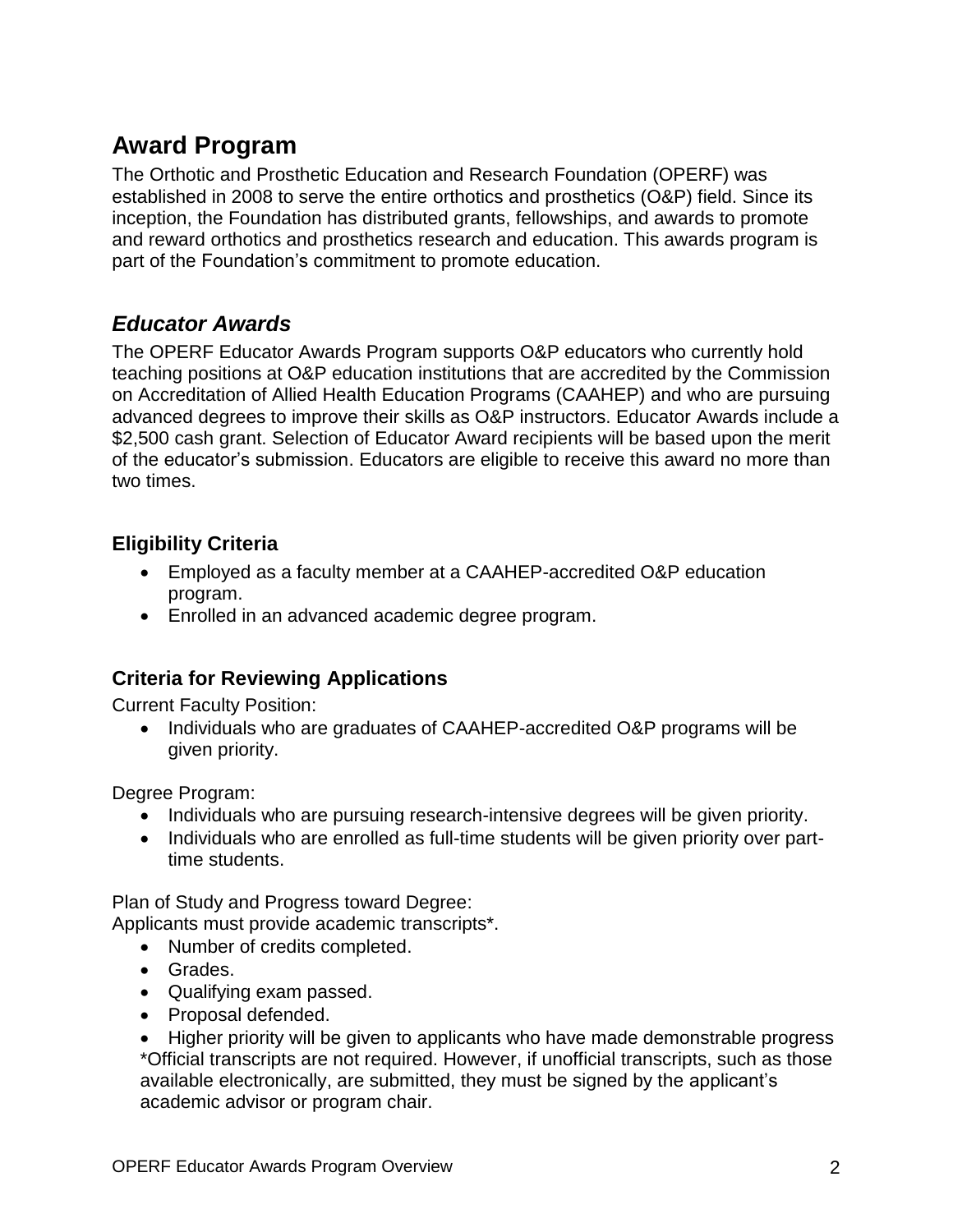# <span id="page-2-0"></span>**Award Program**

The Orthotic and Prosthetic Education and Research Foundation (OPERF) was established in 2008 to serve the entire orthotics and prosthetics (O&P) field. Since its inception, the Foundation has distributed grants, fellowships, and awards to promote and reward orthotics and prosthetics research and education. This awards program is part of the Foundation's commitment to promote education.

#### <span id="page-2-1"></span>*Educator Awards*

The OPERF Educator Awards Program supports O&P educators who currently hold teaching positions at O&P education institutions that are accredited by the Commission on Accreditation of Allied Health Education Programs (CAAHEP) and who are pursuing advanced degrees to improve their skills as O&P instructors. Educator Awards include a \$2,500 cash grant. Selection of Educator Award recipients will be based upon the merit of the educator's submission. Educators are eligible to receive this award no more than two times.

#### <span id="page-2-2"></span>**Eligibility Criteria**

- Employed as a faculty member at a CAAHEP-accredited O&P education program.
- Enrolled in an advanced academic degree program.

#### <span id="page-2-3"></span>**Criteria for Reviewing Applications**

Current Faculty Position:

• Individuals who are graduates of CAAHEP-accredited O&P programs will be given priority.

Degree Program:

- Individuals who are pursuing research-intensive degrees will be given priority.
- Individuals who are enrolled as full-time students will be given priority over parttime students.

Plan of Study and Progress toward Degree:

Applicants must provide academic transcripts\*.

- Number of credits completed.
- Grades.
- Qualifying exam passed.
- Proposal defended.
- Higher priority will be given to applicants who have made demonstrable progress \*Official transcripts are not required. However, if unofficial transcripts, such as those available electronically, are submitted, they must be signed by the applicant's academic advisor or program chair.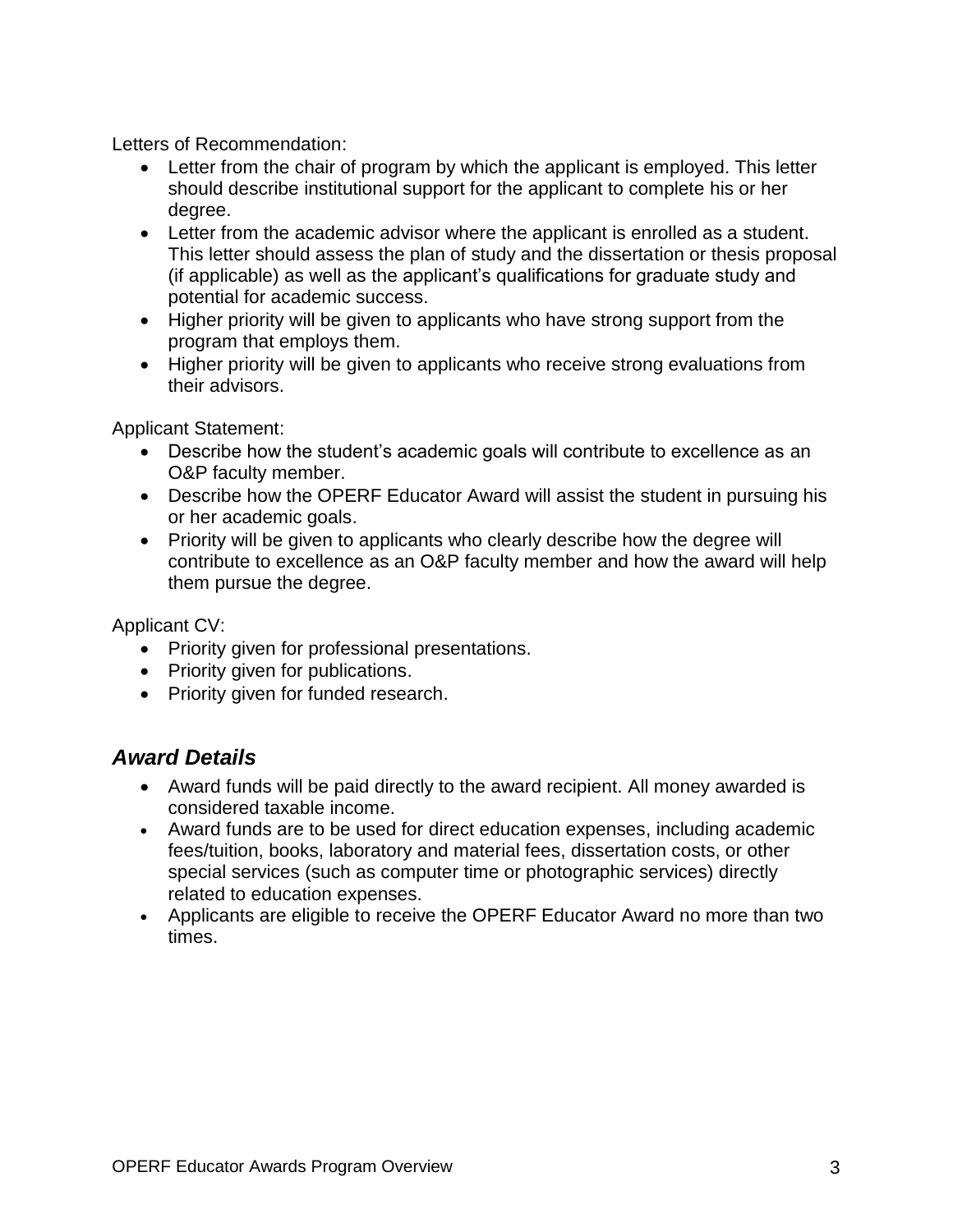Letters of Recommendation:

- Letter from the chair of program by which the applicant is employed. This letter should describe institutional support for the applicant to complete his or her degree.
- Letter from the academic advisor where the applicant is enrolled as a student. This letter should assess the plan of study and the dissertation or thesis proposal (if applicable) as well as the applicant's qualifications for graduate study and potential for academic success.
- Higher priority will be given to applicants who have strong support from the program that employs them.
- Higher priority will be given to applicants who receive strong evaluations from their advisors.

Applicant Statement:

- Describe how the student's academic goals will contribute to excellence as an O&P faculty member.
- Describe how the OPERF Educator Award will assist the student in pursuing his or her academic goals.
- Priority will be given to applicants who clearly describe how the degree will contribute to excellence as an O&P faculty member and how the award will help them pursue the degree.

Applicant CV:

- Priority given for professional presentations.
- Priority given for publications.
- Priority given for funded research.

#### <span id="page-3-0"></span>*Award Details*

- Award funds will be paid directly to the award recipient. All money awarded is considered taxable income.
- Award funds are to be used for direct education expenses, including academic fees/tuition, books, laboratory and material fees, dissertation costs, or other special services (such as computer time or photographic services) directly related to education expenses.
- <span id="page-3-1"></span>• Applicants are eligible to receive the OPERF Educator Award no more than two times.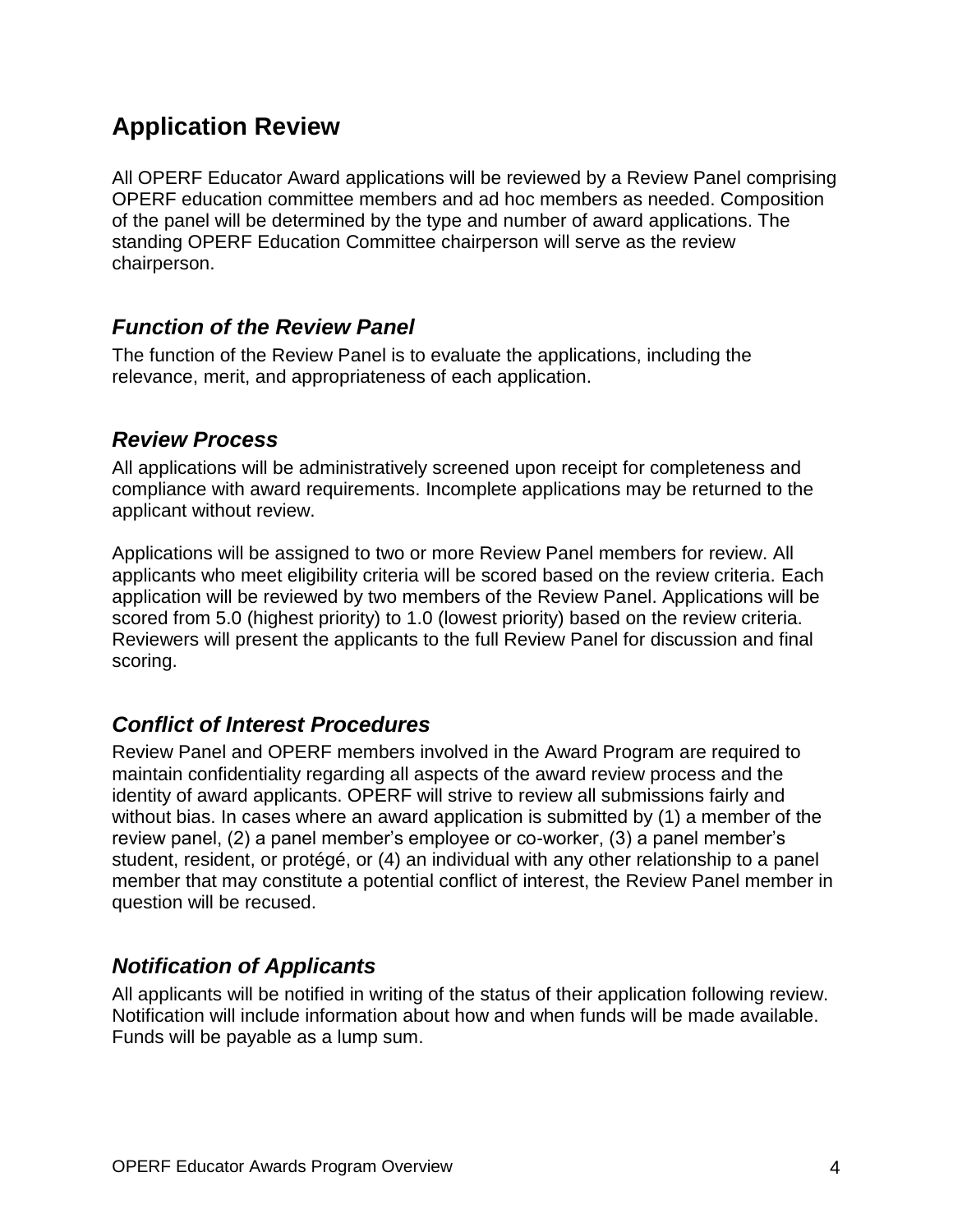## **Application Review**

All OPERF Educator Award applications will be reviewed by a Review Panel comprising OPERF education committee members and ad hoc members as needed. Composition of the panel will be determined by the type and number of award applications. The standing OPERF Education Committee chairperson will serve as the review chairperson.

#### <span id="page-4-0"></span>*Function of the Review Panel*

The function of the Review Panel is to evaluate the applications, including the relevance, merit, and appropriateness of each application.

#### <span id="page-4-1"></span>*Review Process*

All applications will be administratively screened upon receipt for completeness and compliance with award requirements. Incomplete applications may be returned to the applicant without review.

Applications will be assigned to two or more Review Panel members for review. All applicants who meet eligibility criteria will be scored based on the review criteria. Each application will be reviewed by two members of the Review Panel. Applications will be scored from 5.0 (highest priority) to 1.0 (lowest priority) based on the review criteria. Reviewers will present the applicants to the full Review Panel for discussion and final scoring.

#### <span id="page-4-2"></span>*Conflict of Interest Procedures*

Review Panel and OPERF members involved in the Award Program are required to maintain confidentiality regarding all aspects of the award review process and the identity of award applicants. OPERF will strive to review all submissions fairly and without bias. In cases where an award application is submitted by (1) a member of the review panel, (2) a panel member's employee or co-worker, (3) a panel member's student, resident, or protégé, or (4) an individual with any other relationship to a panel member that may constitute a potential conflict of interest, the Review Panel member in question will be recused.

#### <span id="page-4-3"></span>*Notification of Applicants*

All applicants will be notified in writing of the status of their application following review. Notification will include information about how and when funds will be made available. Funds will be payable as a lump sum.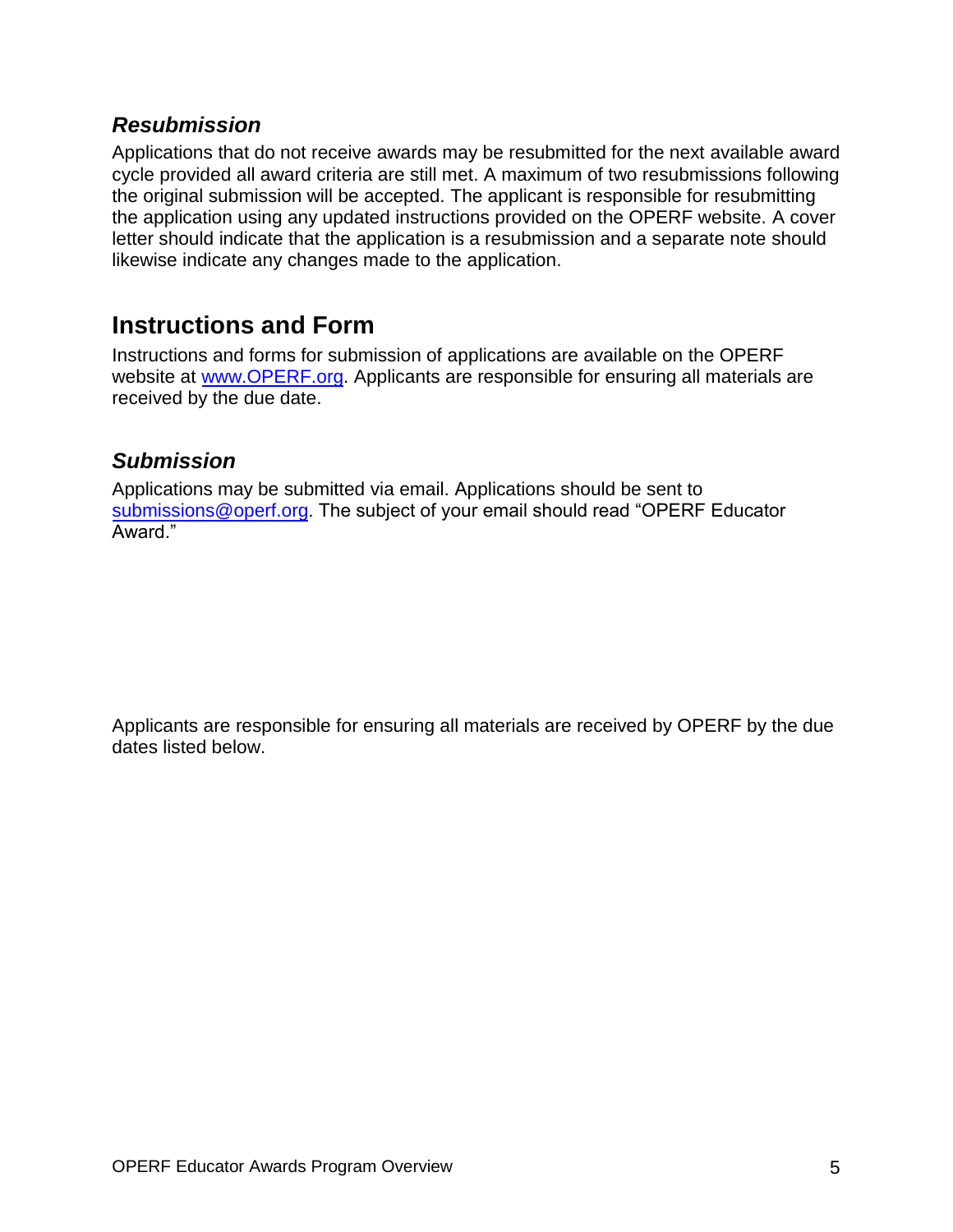#### <span id="page-5-0"></span>*Resubmission*

Applications that do not receive awards may be resubmitted for the next available award cycle provided all award criteria are still met. A maximum of two resubmissions following the original submission will be accepted. The applicant is responsible for resubmitting the application using any updated instructions provided on the OPERF website. A cover letter should indicate that the application is a resubmission and a separate note should likewise indicate any changes made to the application.

### <span id="page-5-1"></span>**Instructions and Form**

Instructions and forms for submission of applications are available on the OPERF website a[t www.OPERF.org.](http://www.operf.org/) Applicants are responsible for ensuring all materials are received by the due date.

#### <span id="page-5-2"></span>*Submission*

Applications may be submitted via email. Applications should be sent to [submissions@operf.org.](mailto:submissions@operf.org?subject=Application%3A%20OPERF%20Educator%20Awards%20Program) The subject of your email should read "OPERF Educator Award."

Applicants are responsible for ensuring all materials are received by OPERF by the due dates listed below.